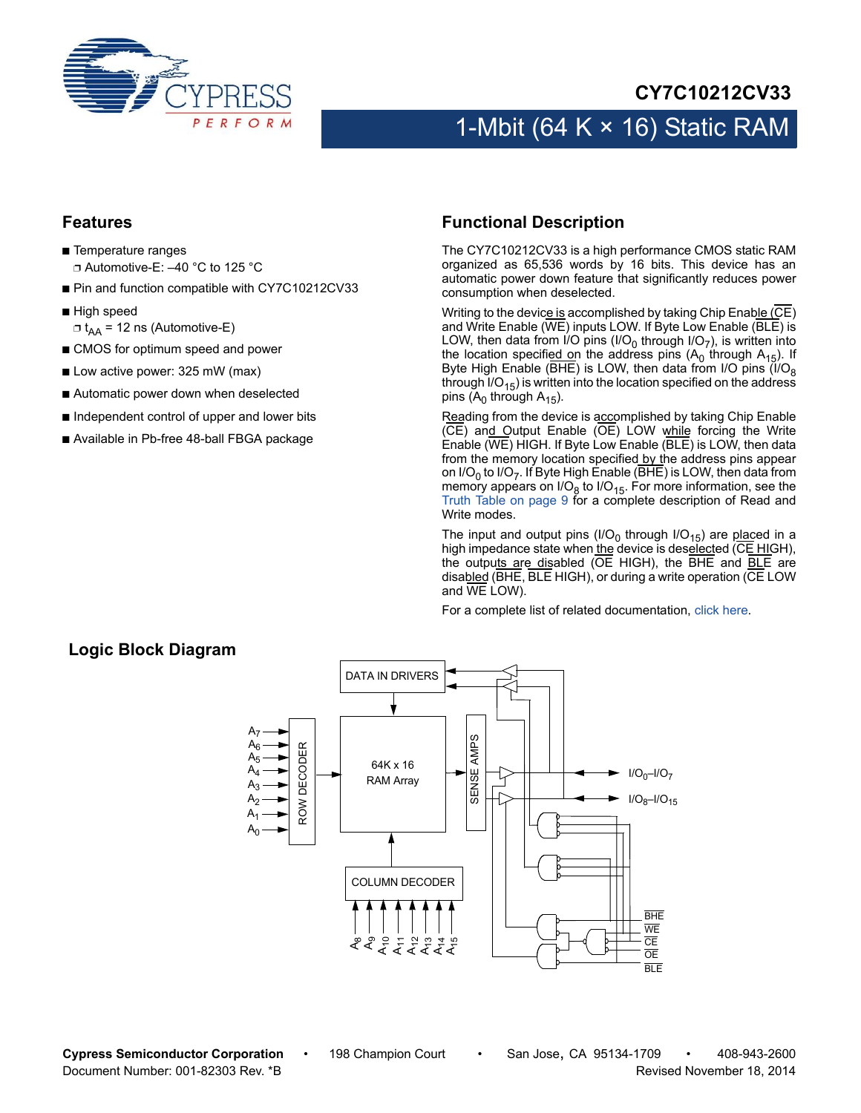

#### **CY7C10212CV33**

# 1-Mbit (64 K  $\times$  16) Static RAM

#### **Features**

- Temperature ranges ❐ Automotive-E: –40 °C to 125 °C
- Pin and function compatible with CY7C10212CV33
- High speed
	- $\Box$  t<sub>AA</sub> = 12 ns (Automotive-E)
- CMOS for optimum speed and power
- Low active power: 325 mW (max)
- Automatic power down when deselected
- Independent control of upper and lower bits
- Available in Pb-free 48-ball FBGA package

#### **Functional Description**

The CY7C10212CV33 is a high performance CMOS static RAM organized as 65,536 words by 16 bits. This device has an automatic power down feature that significantly reduces power consumption when deselected.

Writing to the device is accomplished by taking Chip Enable (CE) and Write Enable (WE) inputs LOW. If Byte Low Enable (BLE) is LOW, then data from I/O pins (I/O<sub>0</sub> through I/O<sub>7</sub>), is written into the location specified on the address pins  $(A_0)$  through  $A_{15}$ ). If Byte High Enable (BHE) is LOW, then data from I/O pins  $( I/O<sub>8</sub>$ through  $IO_{15}$ ) is written into the location specified on the address pins ( $A_0$  through  $A_{15}$ ).

Reading from the device is accomplished by taking Chip Enable (CE) and Output Enable (OE) LOW while forcing the Write Enable (WE) HIGH. If Byte Low Enable (BLE) is LOW, then data from the memory location specified by the address pins appear on I/O<sub>0</sub> to I/O<sub>7</sub>. If Byte High Enable ( $\overline{BHE}$ ) is LOW, then data from memory appears on I/O $_8$  to I/O<sub>15</sub>. For more information, see the [Truth Table on page 9](#page-8-0) for a complete description of Read and Write modes.

The input and output pins (I/O<sub>0</sub> through I/O<sub>15</sub>) are placed in a high impedance state when the device is deselected (CE HIGH), the outputs are disabled (OE HIGH), the BHE and **BLE** are disabled (BHE, BLE HIGH), or during a write operation (CE LOW and WE LOW).

For a complete list of related documentation, [click here](http://www.cypress.com/?rID=88310).

#### **Logic Block Diagram**

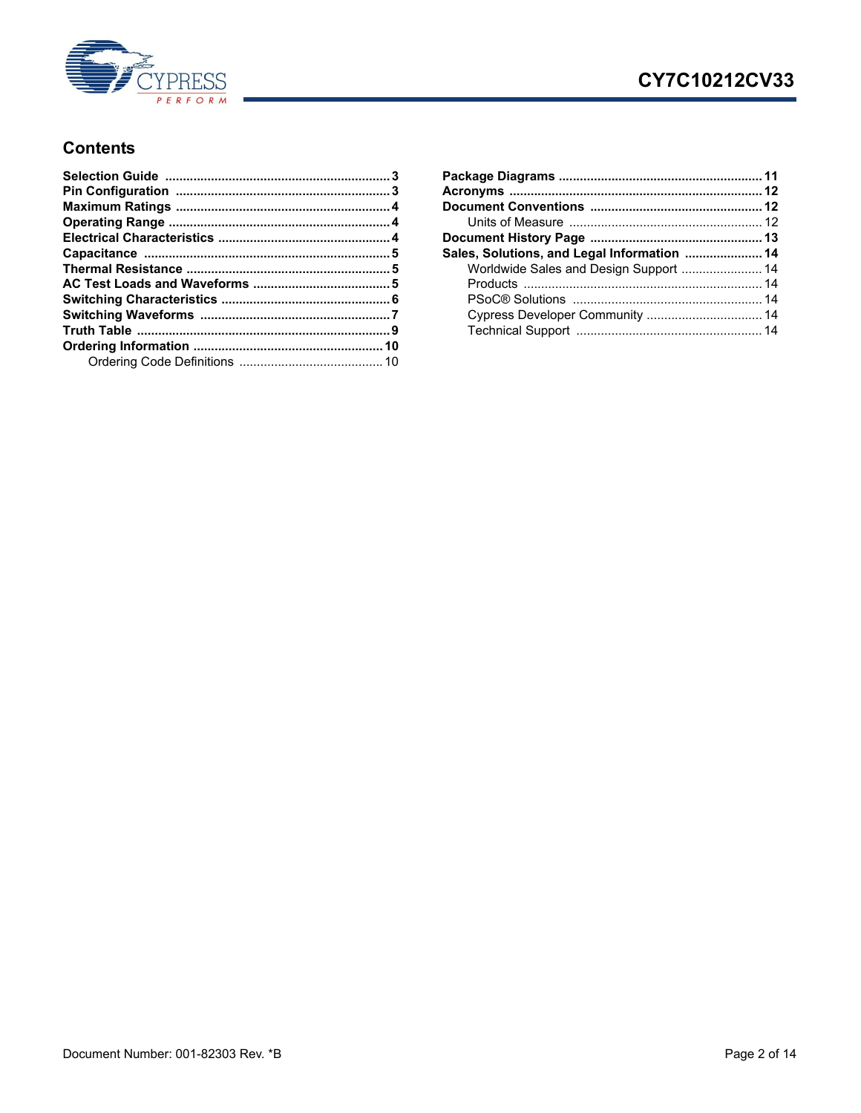

## CY7C10212CV33

#### **Contents**

| Sales, Solutions, and Legal Information  14 |  |
|---------------------------------------------|--|
| Worldwide Sales and Design Support  14      |  |
|                                             |  |
|                                             |  |
| Cypress Developer Community  14             |  |
|                                             |  |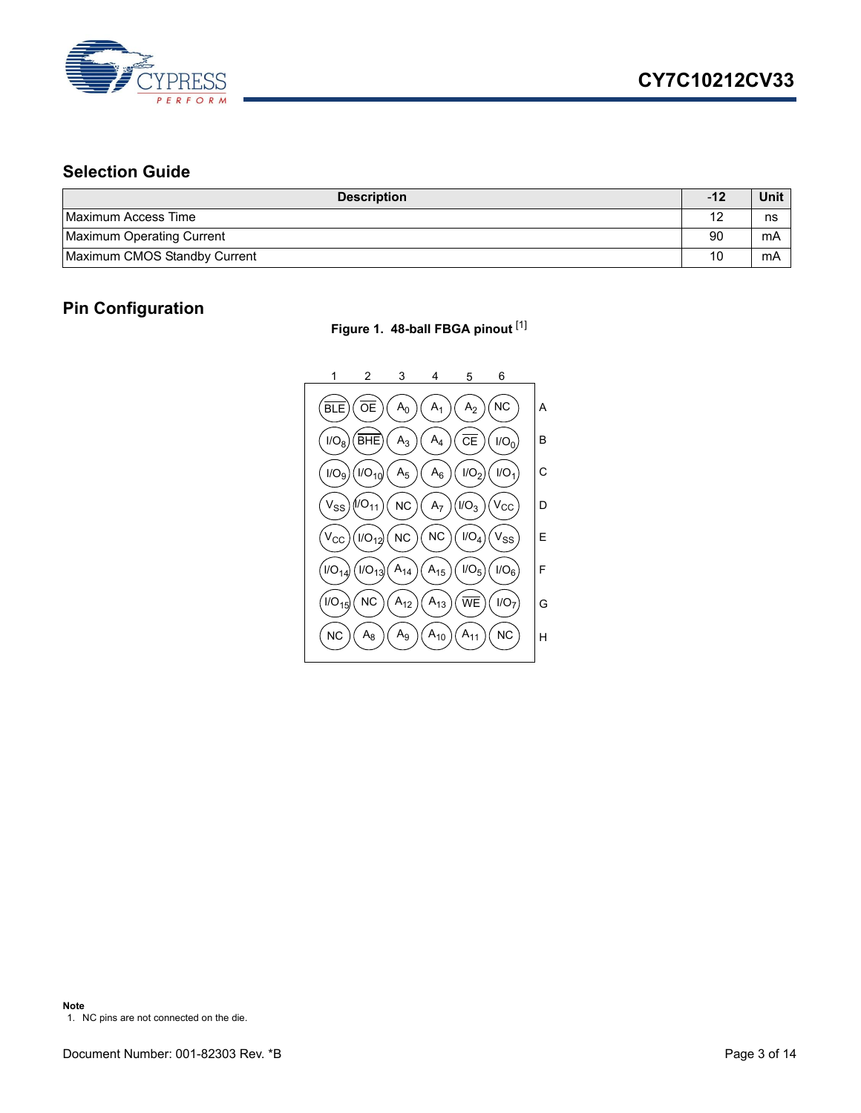

## <span id="page-2-0"></span>**Selection Guide**

| <b>Description</b>           | $-12$ | Unit |
|------------------------------|-------|------|
| Maximum Access Time          |       | ns   |
| Maximum Operating Current    | 90    | mA   |
| Maximum CMOS Standby Current | 10    | mA   |

#### <span id="page-2-1"></span>**Pin Configuration**

**Figure 1. 48-ball FBGA pinout** [[1\]](#page-2-2)

<span id="page-2-2"></span>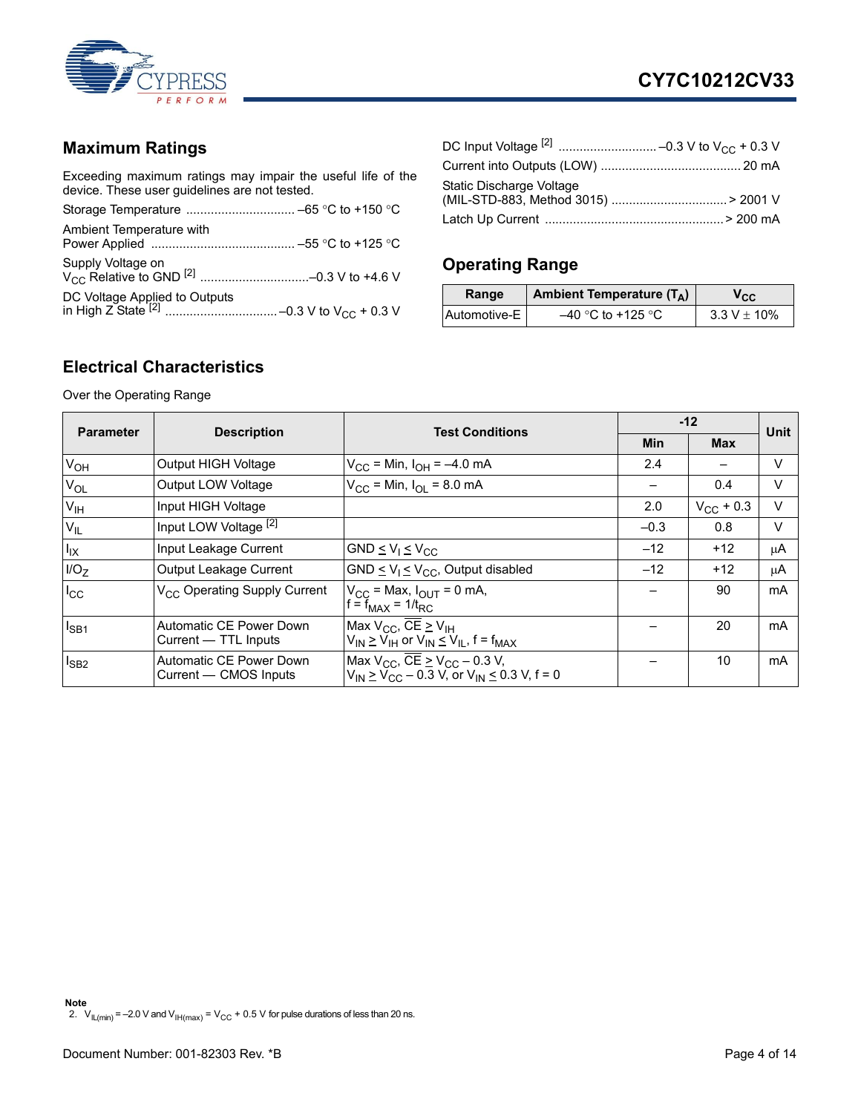

#### <span id="page-3-0"></span>**Maximum Ratings**

Exceeding maximum ratings may impair the useful life of the device. These user guidelines are not tested.

| Ambient Temperature with |  |
|--------------------------|--|
|                          |  |
|                          |  |

| Static Discharge Voltage |  |
|--------------------------|--|
|                          |  |

## <span id="page-3-1"></span>**Operating Range**

| Range        | Ambient Temperature $(T_A)$ | V <sub>CC</sub>  |
|--------------|-----------------------------|------------------|
| Automotive-E | $-40$ °C to +125 °C         | $3.3 V \pm 10\%$ |

#### <span id="page-3-2"></span>**Electrical Characteristics**

Over the Operating Range

<span id="page-3-3"></span>

|                  |                                                  | <b>Test Conditions</b>                                                                                             |        | $-12$              |             |  |
|------------------|--------------------------------------------------|--------------------------------------------------------------------------------------------------------------------|--------|--------------------|-------------|--|
| <b>Parameter</b> | <b>Description</b>                               |                                                                                                                    | Min    | <b>Max</b>         | <b>Unit</b> |  |
| V <sub>OH</sub>  | <b>Output HIGH Voltage</b>                       | $V_{\text{CC}}$ = Min, $I_{\text{OH}}$ = -4.0 mA                                                                   | 2.4    |                    | V           |  |
| $V_{OL}$         | Output LOW Voltage                               | $V_{\rm CC}$ = Min, $I_{\rm O}$ = 8.0 mA                                                                           |        | 0.4                | V           |  |
| V <sub>IH</sub>  | Input HIGH Voltage                               |                                                                                                                    | 2.0    | $V_{\rm CC}$ + 0.3 | $\vee$      |  |
| $V_{IL}$         | Input LOW Voltage <sup>[2]</sup>                 |                                                                                                                    | $-0.3$ | 0.8                | $\vee$      |  |
| $I_{IX}$         | Input Leakage Current                            | GND $\leq$ V <sub>1</sub> $\leq$ V <sub>CC</sub>                                                                   | $-12$  | $+12$              | μA          |  |
| I/O <sub>7</sub> | Output Leakage Current                           | GND $\leq$ V <sub>1</sub> $\leq$ V <sub>CC</sub> , Output disabled                                                 | $-12$  | $+12$              | μA          |  |
| $I_{\rm CC}$     | V <sub>CC</sub> Operating Supply Current         | $V_{\text{CC}}$ = Max, $I_{\text{OUT}}$ = 0 mA,<br>$f = f_{MAX} = 1/t_{RC}$                                        |        | 90                 | mA          |  |
| $I_{SB1}$        | Automatic CE Power Down<br>Current — TTL Inputs  | Max $V_{CC}$ , $\overline{CE} \geq V_{IH}$<br>$V_{IN} \geq V_{IH}$ or $V_{IN} \leq V_{IL}$ , f = f <sub>MAX</sub>  |        | 20                 | mA          |  |
| $I_{SB2}$        | Automatic CE Power Down<br>Current — CMOS Inputs | Max $V_{CC}$ , $\overline{CE} \geq V_{CC} - 0.3$ V,<br>$V_{IN} \geq V_{CC} - 0.3$ V, or $V_{IN} \leq 0.3$ V, f = 0 |        | 10                 | mA          |  |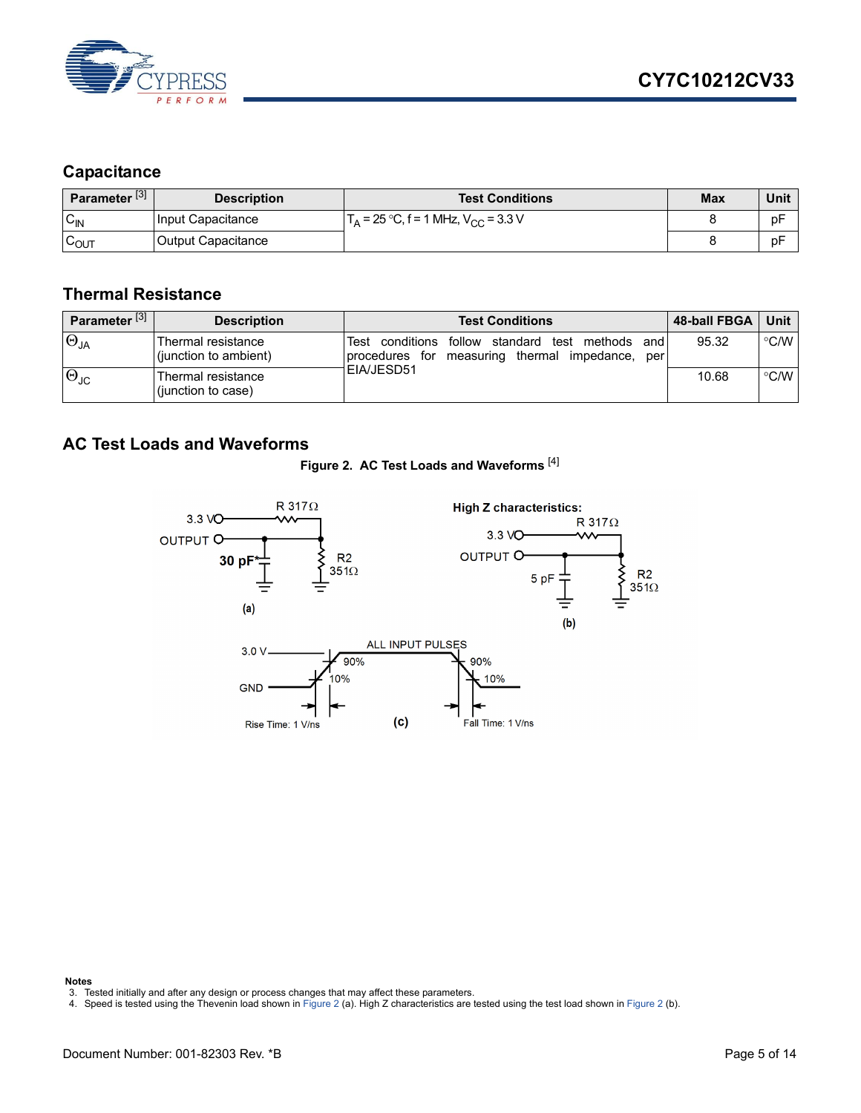

#### <span id="page-4-0"></span>**Capacitance**

| Parameter <sup>[3]</sup> | <b>Description</b> | <b>Test Conditions</b>                                       | <b>Max</b> | Unit |
|--------------------------|--------------------|--------------------------------------------------------------|------------|------|
| $C_{\text{IN}}$          | Input Capacitance  | $\Gamma_{\rm A}$ = 25 °C, f = 1 MHz, V <sub>CC</sub> = 3.3 V |            | рF   |
| $\sim$<br>∪OUT           | Output Capacitance |                                                              |            | рF   |

#### <span id="page-4-1"></span>**Thermal Resistance**

| Parameter <sup>[3]</sup> | <b>Description</b>                          | <b>Test Conditions</b>                                                                                             | <b>48-ball FBGA</b> | Unit          |
|--------------------------|---------------------------------------------|--------------------------------------------------------------------------------------------------------------------|---------------------|---------------|
| $\Theta_{JA}$            | Thermal resistance<br>(junction to ambient) | conditions follow standard test<br>methods<br>Test<br>and<br>measuring thermal impedance,<br>procedures for<br>per | 95.32               | $\degree$ C/W |
| $\Theta_{\text{JC}}$     | Thermal resistance<br>(junction to case)    | <b>IEIA/JESD51</b>                                                                                                 | 10.68               | $\degree$ C/W |

#### <span id="page-4-5"></span><span id="page-4-2"></span>**AC Test Loads and Waveforms**





**Notes**

- <span id="page-4-3"></span>3. Tested initially and after any design or process changes that may affect these parameters.
- <span id="page-4-4"></span>4. Speed is tested using the Thevenin load shown in [Figure 2](#page-4-5) (a). High Z characteristics are tested using the test load shown in [Figure 2](#page-4-5) (b).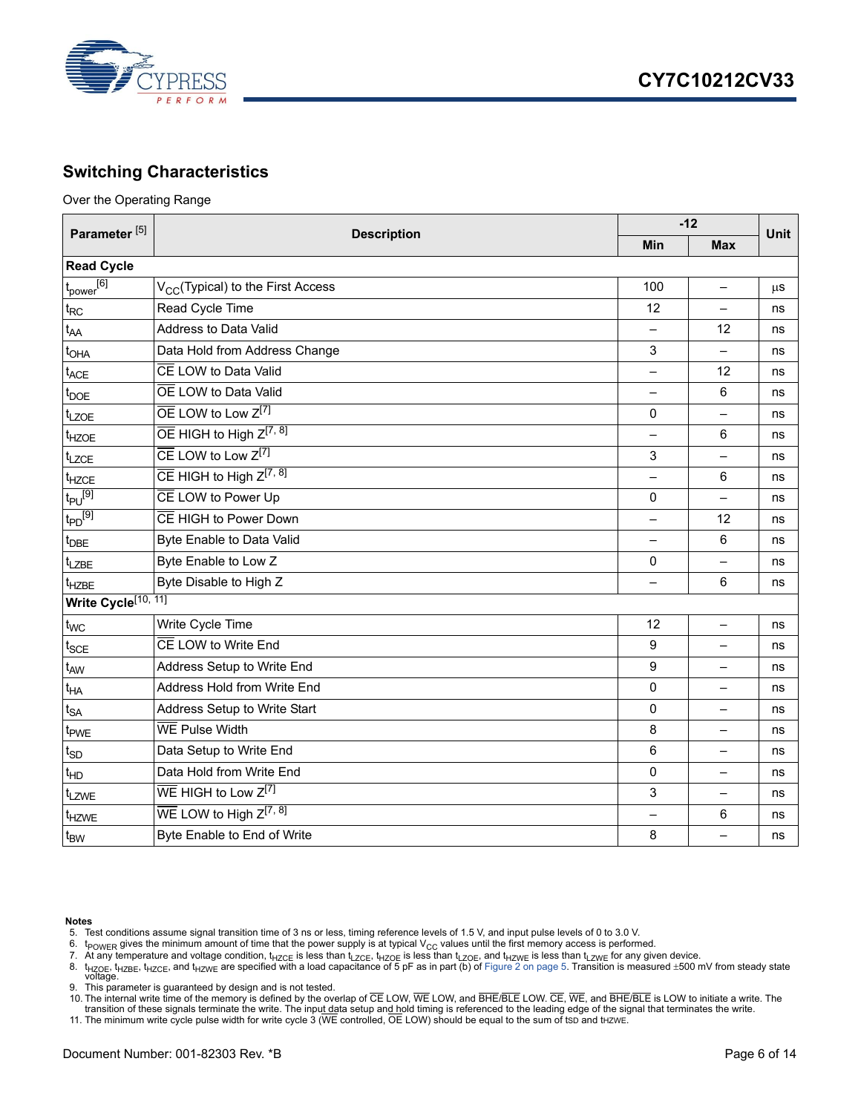

#### <span id="page-5-0"></span>**Switching Characteristics**

Over the Operating Range

| Parameter <sup>[5]</sup>        | <b>Description</b>                              |                          | $-12$                    |      |  |
|---------------------------------|-------------------------------------------------|--------------------------|--------------------------|------|--|
|                                 |                                                 | <b>Min</b>               | <b>Max</b>               | Unit |  |
| <b>Read Cycle</b>               |                                                 |                          |                          |      |  |
| $t_{power}$ <sup>[6]</sup>      | V <sub>CC</sub> (Typical) to the First Access   | 100                      | —                        | μS   |  |
| $t_{RC}$                        | Read Cycle Time                                 | 12                       |                          | ns   |  |
| t <sub>AA</sub>                 | Address to Data Valid                           |                          | 12                       | ns   |  |
| t <sub>OHA</sub>                | Data Hold from Address Change                   | 3                        | $\overline{a}$           | ns   |  |
| $t_{ACE}$                       | CE LOW to Data Valid                            | $\overline{\phantom{0}}$ | 12                       | ns   |  |
| $t_{\text{DOE}}$                | OE LOW to Data Valid                            |                          | 6                        | ns   |  |
| t <sub>LZOE</sub>               | OE LOW to Low Z[7]                              | 0                        |                          | ns   |  |
| t <sub>HZOE</sub>               | $\overline{OE}$ HIGH to High $Z^{[7, 8]}$       |                          | 6                        | ns   |  |
| $t_{LZCE}$                      | $\overline{CE}$ LOW to Low $Z^{[7]}$            | 3                        | —                        | ns   |  |
| t <sub>HZCE</sub>               | $\overline{CE}$ HIGH to High $Z^{[7, 8]}$       |                          | 6                        | ns   |  |
| $t_{PU}$ <sup>[9]</sup>         | CE LOW to Power Up                              | 0                        | $\overline{\phantom{0}}$ | ns   |  |
| $t_{PD}$ <sup>[9]</sup>         | CE HIGH to Power Down                           |                          | 12                       | ns   |  |
| $t_{\text{DBE}}$                | Byte Enable to Data Valid                       | $\qquad \qquad -$        | 6                        | ns   |  |
| t <sub>LZBE</sub>               | Byte Enable to Low Z                            | 0                        | $\equiv$                 | ns   |  |
| t <sub>HZBE</sub>               | Byte Disable to High Z                          |                          | 6                        | ns   |  |
| Write Cycle <sup>[10, 11]</sup> |                                                 |                          |                          |      |  |
| t <sub>WC</sub>                 | Write Cycle Time                                | 12                       | $\overline{\phantom{0}}$ | ns   |  |
| $t_{SCE}$                       | CE LOW to Write End                             | 9                        | $\overline{\phantom{0}}$ | ns   |  |
| $t_{AW}$                        | Address Setup to Write End                      | 9                        | $\overline{\phantom{0}}$ | ns   |  |
| $t_{HA}$                        | Address Hold from Write End                     | 0                        | —                        | ns   |  |
| $t_{SA}$                        | Address Setup to Write Start                    | 0                        | $\overline{\phantom{0}}$ | ns   |  |
| t <sub>PWE</sub>                | WE Pulse Width                                  | 8                        | $\equiv$                 | ns   |  |
| $t_{SD}$                        | Data Setup to Write End                         | 6                        | —                        | ns   |  |
| $t_{HD}$                        | Data Hold from Write End                        | $\Omega$                 | $\equiv$                 | ns   |  |
| t <sub>LZWE</sub>               | $\overline{\text{WE}}$ HIGH to Low $Z^{[7]}$    | 3                        | $\overline{\phantom{0}}$ | ns   |  |
| t <sub>HZWE</sub>               | $\overline{\text{WE}}$ LOW to High $Z^{[7, 8]}$ | $\overline{\phantom{0}}$ | 6                        | ns   |  |
| t <sub>BW</sub>                 | Byte Enable to End of Write                     | 8                        |                          | ns   |  |

#### **Notes**

- <span id="page-5-7"></span>5. Test conditions assume signal transition time of 3 ns or less, timing reference levels of 1.5 V, and input pulse levels of 0 to 3.0 V.<br>6. t<sub>POWER</sub> gives the minimum amount of time that the power supply is at typical V
- <span id="page-5-5"></span>
- <span id="page-5-6"></span><span id="page-5-1"></span>
- 7. At any temperature and voltage condition, t<sub>HZCE</sub> is less than t<sub>LZCE</sub>, t<sub>HZCE</sub> is less than t<sub>LZOE</sub>, and t<sub>HZWE</sub> for any given device.<br>8. t<sub>HZOE</sub>, t<sub>HZBE</sub>, t<sub>HZCE</sub>, and t<sub>HZWE</sub> are specified with a load capacitance
- <span id="page-5-2"></span>
- <span id="page-5-3"></span>9. This parameter is guaranteed by design and is not tested.<br>10. The internal write time of the memory is defined by the overlap of CE LOW, WE LOW, and BHE/BLE LOW. CE, WE, and BHE/BLE is LOW to initiate a write. The trans
- <span id="page-5-4"></span>11. The minimum write cycle pulse width for write cycle 3 ( $\overline{\text{WE}}$  controlled,  $\overline{\text{OE}}$  LOW) should be equal to the sum of tsp and tHZWE.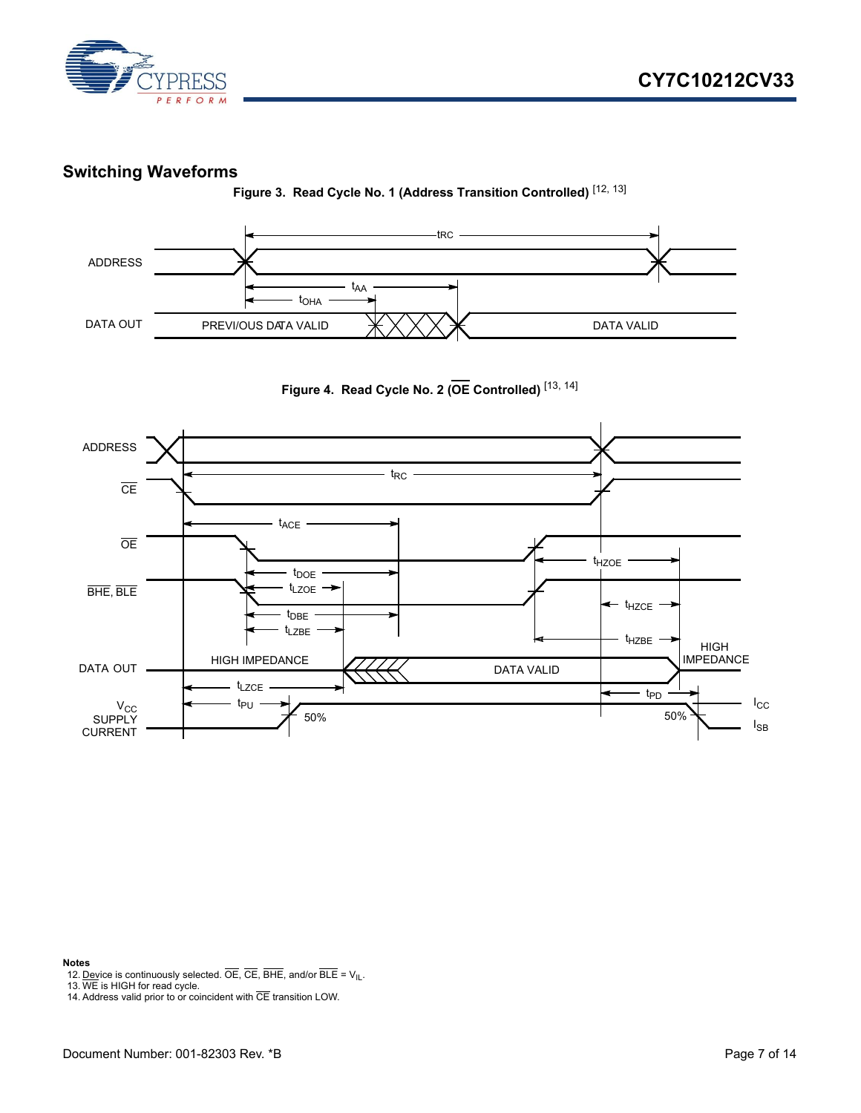

#### <span id="page-6-0"></span>**Switching Waveforms**

**Figure 3. Read Cycle No. 1 (Address Transition Controlled)** [[12,](#page-6-1) [13\]](#page-6-2)







#### **Notes**

- <span id="page-6-1"></span>12. Device is continuously selected.  $\overline{OE}$ ,  $\overline{CE}$ ,  $\overline{BHE}$ , and/or  $\overline{BLE} = V_{IL}$ .
- <span id="page-6-2"></span>13. WE is HIGH for read cycle.

<span id="page-6-3"></span>14. Address valid prior to or coincident with  $\overline{CE}$  transition LOW.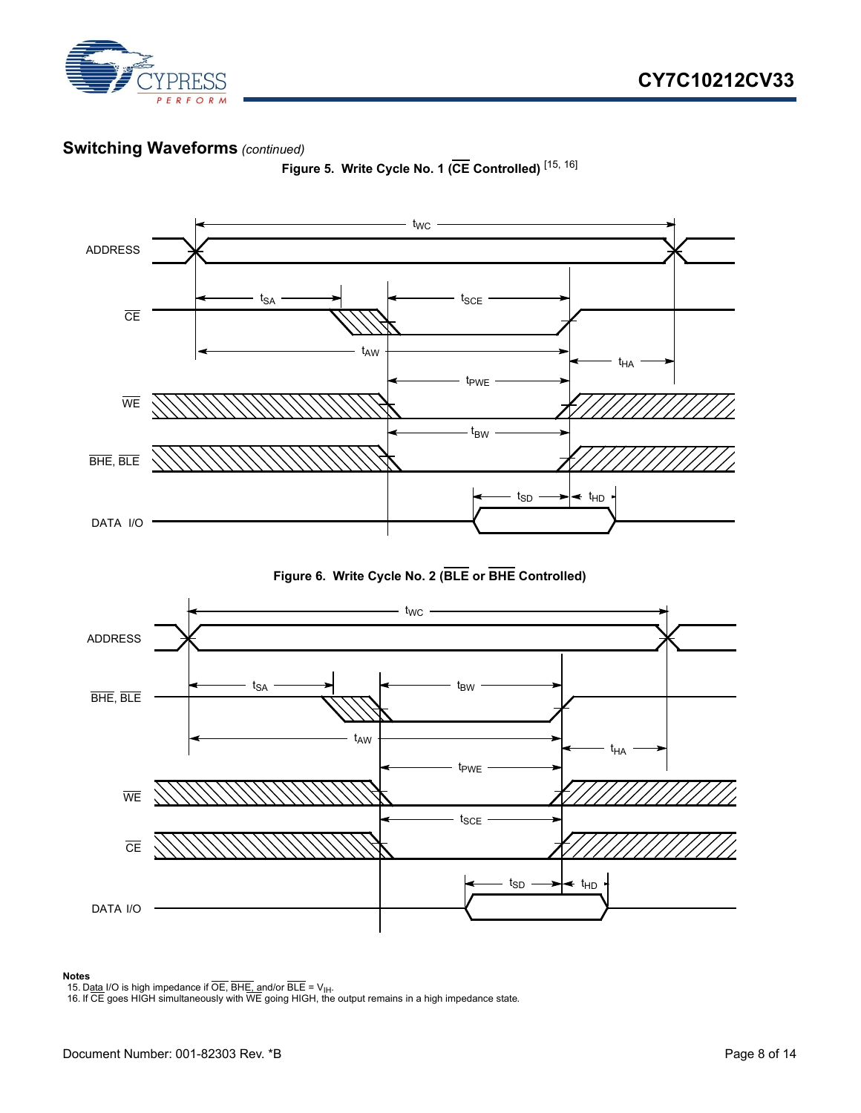

#### **Switching Waveforms** *(continued)*



**Figure 5. Write Cycle No. 1 (CE Controlled)** [\[15](#page-7-0), [16\]](#page-7-1)

**Figure 6. Write Cycle No. 2 (BLE or BHE Controlled)**



#### **Notes**

<span id="page-7-0"></span>

<span id="page-7-1"></span>15. D<u>ata</u> I/O is high impedance if OE, BH<u>E, a</u>nd/or BLE = V<sub>IH</sub>.<br>16. If CE goes HIGH simultaneously with WE going HIGH, the output remains in a high impedance state.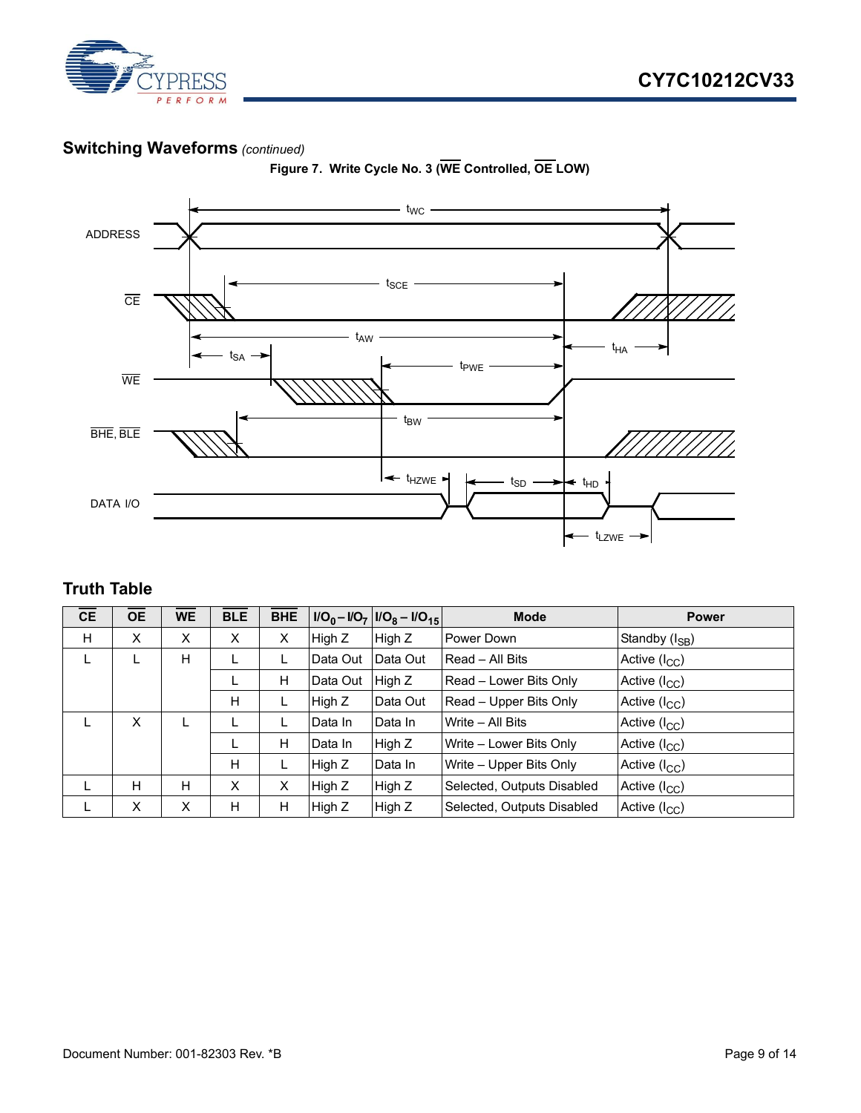

#### **Switching Waveforms** *(continued)*

<span id="page-8-1"></span>

**Figure 7. Write Cycle No. 3 (WE Controlled, OE LOW)**

## <span id="page-8-0"></span>**Truth Table**

| <b>CE</b> | <b>OE</b> | <b>WE</b> | <b>BLE</b> | <b>BHE</b> |          | $I/O_0 - I/O_7  I/O_8 - I/O_{15} $ | <b>Mode</b>                | <b>Power</b>               |
|-----------|-----------|-----------|------------|------------|----------|------------------------------------|----------------------------|----------------------------|
| H         | X         | X         | X          | X          | High Z   | High Z                             | Power Down                 | Standby (I <sub>SB</sub> ) |
| L         | L         | H         |            | L          | Data Out | Data Out                           | <b>Read – All Bits</b>     | Active (I <sub>CC</sub> )  |
|           |           |           | ┗          | H          | Data Out | High Z                             | Read - Lower Bits Only     | Active $(I_{CC})$          |
|           |           |           | H          | L          | High Z   | Data Out                           | Read - Upper Bits Only     | Active (I <sub>CC</sub> )  |
| L         | X         | L         |            | L.         | Data In  | Data In                            | Write - All Bits           | Active $(I_{CC})$          |
|           |           |           |            | H          | Data In  | High Z                             | Write - Lower Bits Only    | Active (I <sub>CC</sub> )  |
|           |           |           | H          | L          | High Z   | Data In                            | Write – Upper Bits Only    | Active (I <sub>CC</sub> )  |
| L.        | H         | H         | X          | X          | High Z   | High Z                             | Selected, Outputs Disabled | Active (I <sub>CC</sub> )  |
|           | X         | X         | H          | Н          | High Z   | High Z                             | Selected, Outputs Disabled | Active (I <sub>CC</sub> )  |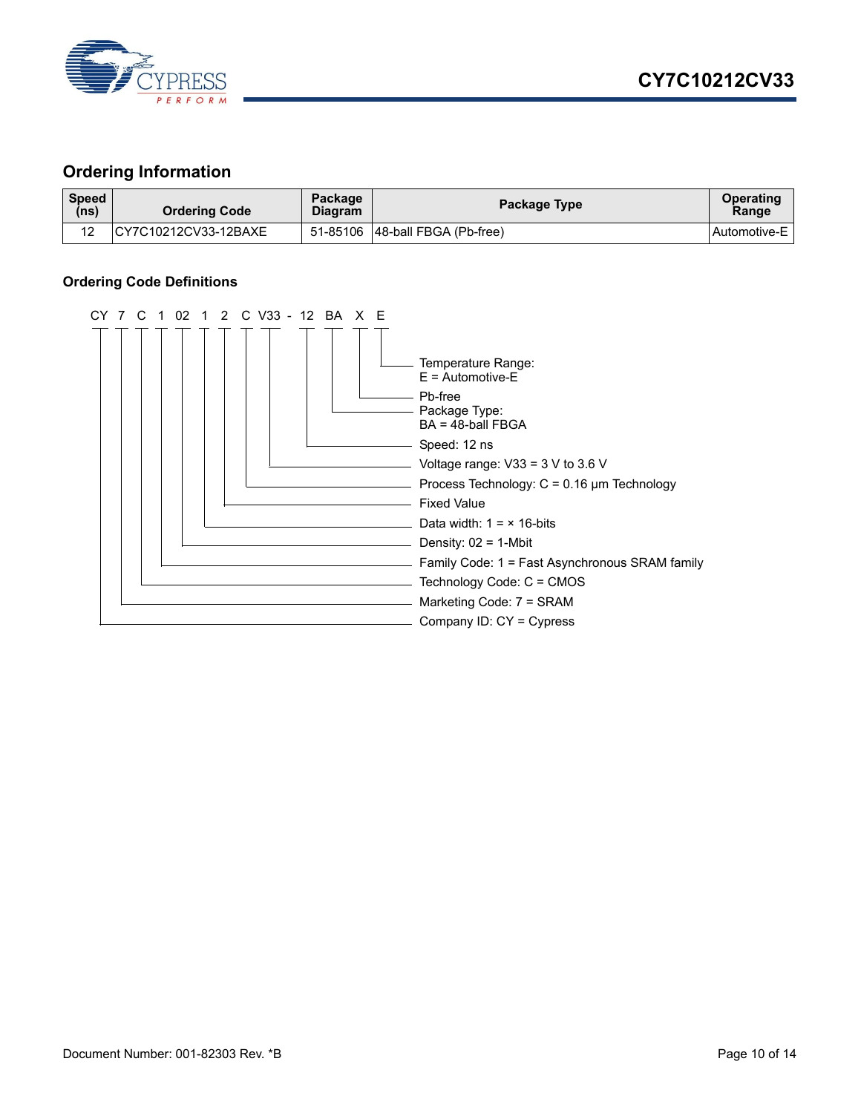

#### <span id="page-9-0"></span>**Ordering Information**

| <b>Speed</b><br>(ns) | <b>Ordering Code</b>  | Package<br><b>Diagram</b> | Package Type                    | <b>Operating</b><br>Range |
|----------------------|-----------------------|---------------------------|---------------------------------|---------------------------|
| 12                   | ICY7C10212CV33-12BAXE |                           | 51-85106 48-ball FBGA (Pb-free) | Automotive-E              |

#### <span id="page-9-1"></span>**Ordering Code Definitions**

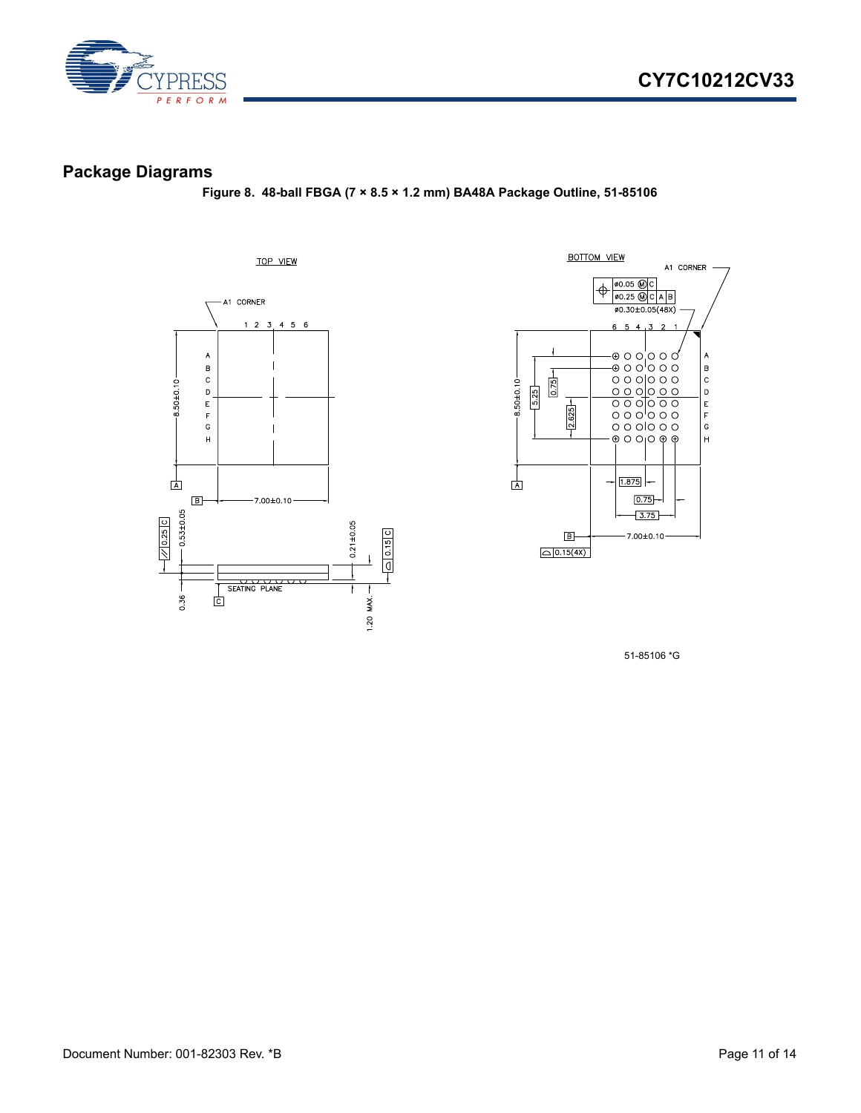

## <span id="page-10-0"></span>**Package Diagrams**

**Figure 8. 48-ball FBGA (7 × 8.5 × 1.2 mm) BA48A Package Outline, 51-85106**





51-85106 \*G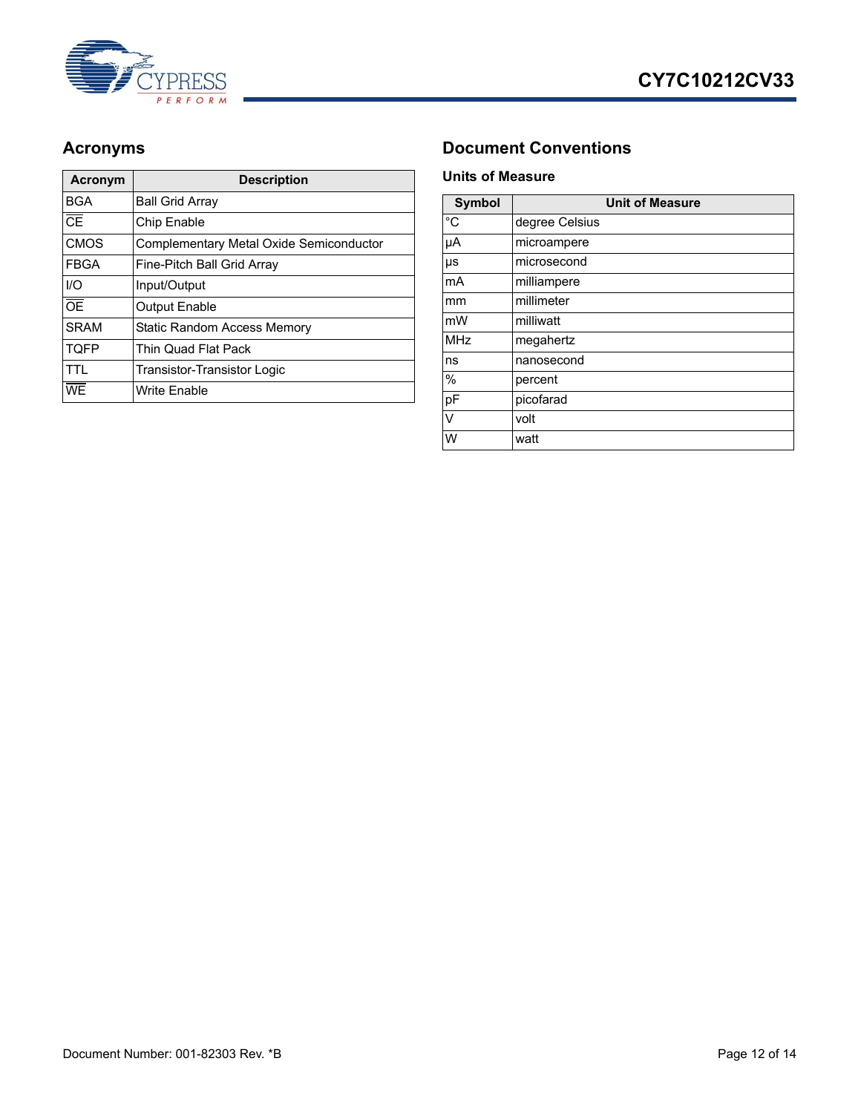



| <b>Acronym</b>         | <b>Description</b>                      |  |  |
|------------------------|-----------------------------------------|--|--|
| <b>BGA</b>             | <b>Ball Grid Arrav</b>                  |  |  |
| $\overline{\text{CE}}$ | Chip Enable                             |  |  |
| <b>CMOS</b>            | Complementary Metal Oxide Semiconductor |  |  |
| <b>FBGA</b>            | Fine-Pitch Ball Grid Array              |  |  |
| I/O                    | Input/Output                            |  |  |
| $\overline{OE}$        | <b>Output Enable</b>                    |  |  |
| <b>SRAM</b>            | <b>Static Random Access Memory</b>      |  |  |
| <b>TQFP</b>            | Thin Quad Flat Pack                     |  |  |
| TTL.                   | Transistor-Transistor Logic             |  |  |
| WF                     | <b>Write Enable</b>                     |  |  |

#### <span id="page-11-0"></span>Acronyms **Document Conventions**

#### <span id="page-11-2"></span><span id="page-11-1"></span>**Units of Measure**

| <b>Symbol</b> | <b>Unit of Measure</b> |  |  |
|---------------|------------------------|--|--|
| $^{\circ}C$   | degree Celsius         |  |  |
| μA            | microampere            |  |  |
| μs            | microsecond            |  |  |
| mA            | milliampere            |  |  |
| mm            | millimeter             |  |  |
| mW            | milliwatt              |  |  |
| <b>MHz</b>    | megahertz              |  |  |
| ns            | nanosecond             |  |  |
| %             | percent                |  |  |
| pF            | picofarad              |  |  |
| V             | volt                   |  |  |
| W             | watt                   |  |  |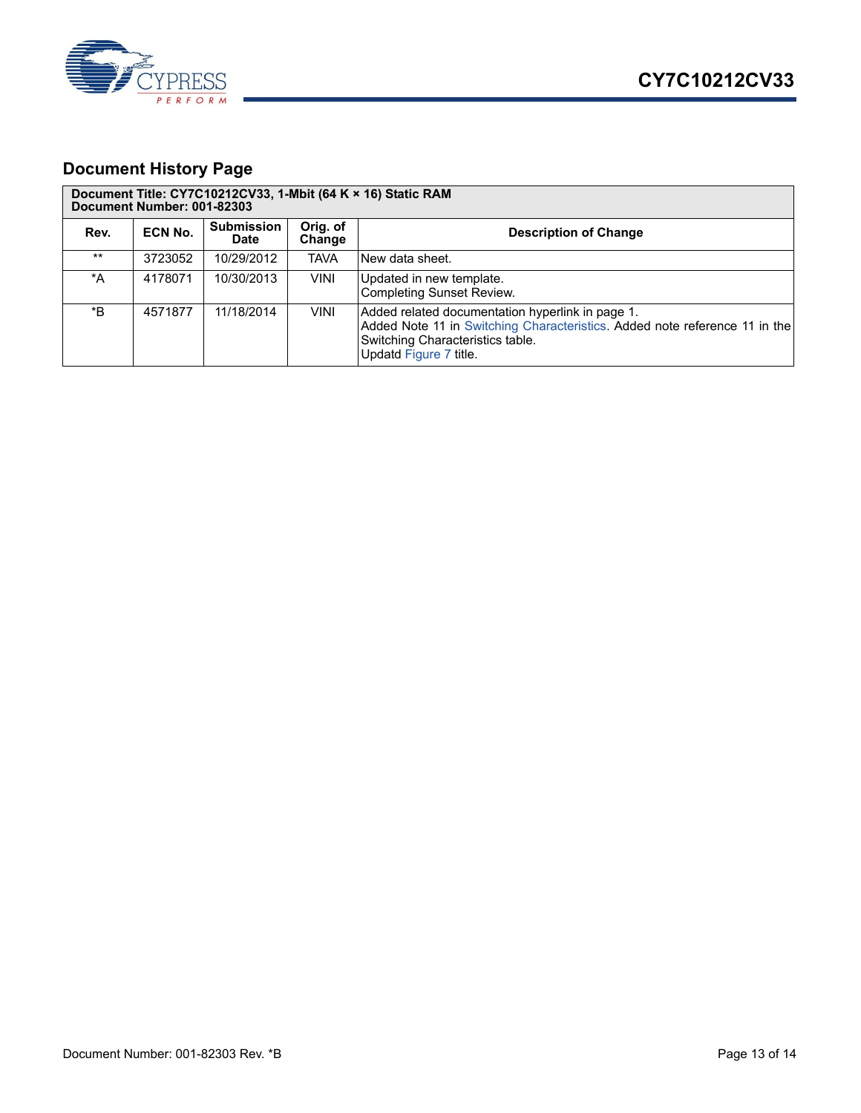

## <span id="page-12-0"></span>**Document History Page**

| Document Title: CY7C10212CV33, 1-Mbit (64 K × 16) Static RAM<br>Document Number: 001-82303 |         |                                  |                    |                                                                                                                                                                                              |  |  |  |
|--------------------------------------------------------------------------------------------|---------|----------------------------------|--------------------|----------------------------------------------------------------------------------------------------------------------------------------------------------------------------------------------|--|--|--|
| Rev.                                                                                       | ECN No. | <b>Submission</b><br><b>Date</b> | Orig. of<br>Change | <b>Description of Change</b>                                                                                                                                                                 |  |  |  |
| $***$                                                                                      | 3723052 | 10/29/2012                       | <b>TAVA</b>        | New data sheet.                                                                                                                                                                              |  |  |  |
| *A                                                                                         | 4178071 | 10/30/2013                       | <b>VINI</b>        | Updated in new template.<br><b>Completing Sunset Review.</b>                                                                                                                                 |  |  |  |
| *B                                                                                         | 4571877 | 11/18/2014                       | <b>VINI</b>        | Added related documentation hyperlink in page 1.<br>Added Note 11 in Switching Characteristics. Added note reference 11 in the<br>Switching Characteristics table.<br>Updatd Figure 7 title. |  |  |  |